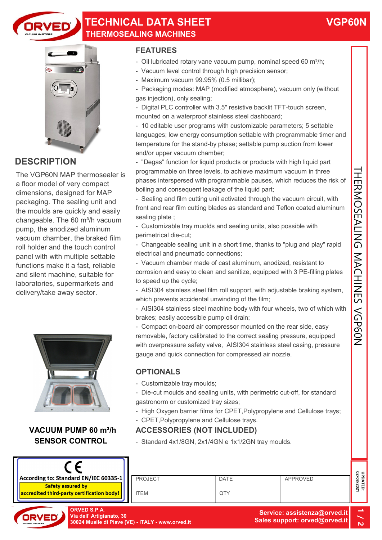

### TECHNICAL DATA SHEET THERMOSEALING MACHINES



## **DESCRIPTION**

The VGP60N MAP thermosealer is a floor model of very compact dimensions, designed for MAP packaging. The sealing unit and the moulds are quickly and easily changeable. The  $60 \text{ m}^3$ /h vacuum pump, the anodized aluminum vacuum chamber, the braked film roll holder and the touch control panel with with multiple settable functions make it a fast, reliable and silent machine, suitable for laboratories, supermarkets and delivery/take away sector.



#### VACUUM PUMP 60 m<sup>3</sup>/h SENSOR CONTROL



#### FEATURES

- Oil lubricated rotary vane vacuum pump, nominal speed 60 m $h$ ;
- Vacuum level control through high precision sensor;
- Maximum vacuum 99.95% (0.5 millibar);
- Packaging modes: MAP (modified atmosphere), vacuum only (without gas injection), only sealing;
- Digital PLC controller with 3.5" resistive backlit TFT-touch screen, mounted on a waterproof stainless steel dashboard;
- 10 editable user programs with customizable parameters; 5 settable languages; low energy consumption settable with programmable timer and temperature for the stand-by phase; settable pump suction from lower and/or upper vacuum chamber;
- "Degas" function for liquid products or products with high liquid part programmable on three levels, to achieve maximum vacuum in three phases interspersed with programmable pauses, which reduces the risk of boiling and consequent leakage of the liquid part;
- Sealing and film cutting unit activated through the vacuum circuit, with front and rear film cutting blades as standard and Teflon coated aluminum sealing plate ;
- Customizable tray muolds and sealing units, also possible with perimetrical die-cut;
- Changeable sealing unit in a short time, thanks to "plug and play" rapid electrical and pneumatic connections;
- Vacuum chamber made of cast aluminum, anodized, resistant to corrosion and easy to clean and sanitize, equipped with 3 PE-filling plates to speed up the cycle;
- AISI304 stainless steel film roll support, with adjustable braking system, which prevents accidental unwinding of the film:
- AISI304 stainless steel machine body with four wheels, two of which with brakes; easily accessible pump oil drain;
- Compact on-board air compressor mounted on the rear side, easy removable, factory calibrated to the correct sealing pressure, equipped with overpressure safety valve, AISI304 stainless steel casing, pressure gauge and quick connection for compressed air nozzle. - "Degas" function for liquid products or products with high liquid part<br>phases interspersed with programmable pauses, which reduces the risk of<br>poling and consequent leakage of the liquid part;<br>
Phases interspersed with

#### **OPTIONALS**

- Customizable tray moulds;
- Die-cut moulds and sealing units, with perimetric cut-off, for standard gastronorm or customized tray sizes;
- High Oxygen barrier films for CPET,Polypropylene and Cellulose trays;
- CPET,Polypropylene and Cellulose trays.

- Standard 4x1/8GN, 2x1/4GN e 1x1/2GN tray moulds.

| <b>ORVED S.P.A.</b><br>Via dell' Artigianato, 30 | 30024 Musile di Piave (VE) - ITALY - www.orved.it |             | Service: assistenza@orved.it<br>Sales support: orved@orved.it | ∸<br>N                 |
|--------------------------------------------------|---------------------------------------------------|-------------|---------------------------------------------------------------|------------------------|
| <mark>y certification body!</mark>               | <b>ITEM</b>                                       | QTY         |                                                               |                        |
| ard EN/IEC 60335-1<br>ured bv                    | <b>PROJECT</b>                                    | <b>DATE</b> | <b>APPROVED</b>                                               | UPDATED:<br>02/08/2021 |
|                                                  |                                                   |             |                                                               |                        |